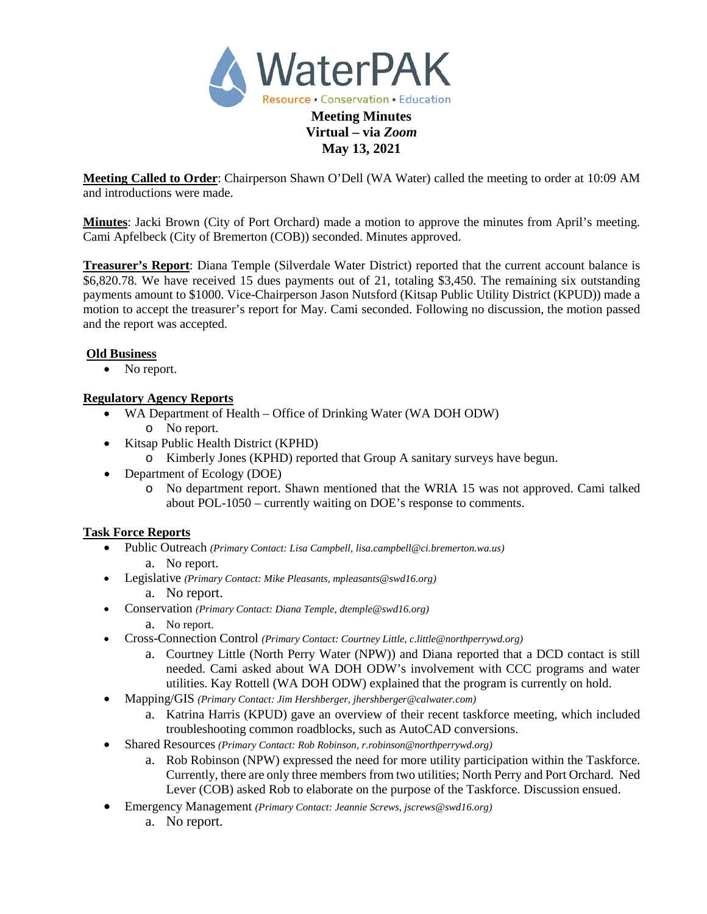

# **Virtual – via** *Zoom* **May 13, 2021**

**Meeting Called to Order**: Chairperson Shawn O'Dell (WA Water) called the meeting to order at 10:09 AM and introductions were made.

**Minutes**: Jacki Brown (City of Port Orchard) made a motion to approve the minutes from April's meeting. Cami Apfelbeck (City of Bremerton (COB)) seconded. Minutes approved.

**Treasurer's Report**: Diana Temple (Silverdale Water District) reported that the current account balance is \$6,820.78. We have received 15 dues payments out of 21, totaling \$3,450. The remaining six outstanding payments amount to \$1000. Vice-Chairperson Jason Nutsford (Kitsap Public Utility District (KPUD)) made a motion to accept the treasurer's report for May. Cami seconded. Following no discussion, the motion passed and the report was accepted.

### **Old Business**

• No report.

### **Regulatory Agency Reports**

- WA Department of Health Office of Drinking Water (WA DOH ODW)
	- o No report.
- Kitsap Public Health District (KPHD)
	- o Kimberly Jones (KPHD) reported that Group A sanitary surveys have begun.
- Department of Ecology (DOE)
	- o No department report. Shawn mentioned that the WRIA 15 was not approved. Cami talked about POL-1050 – currently waiting on DOE's response to comments.

# **Task Force Reports**

- Public Outreach *(Primary Contact: Lisa Campbell, lisa.campbell@ci.bremerton.wa.us)*
	- a. No report.
- Legislative *(Primary Contact: Mike Pleasants, mpleasants@swd16.org)* 
	- a. No report.
- Conservation *(Primary Contact: Diana Temple, dtemple@swd16.org)*
	- a. No report.
- Cross-Connection Control *(Primary Contact: Courtney Little, [c.little@northperrywd.org\)](mailto:c.little@northperrywd.org)*
	- a. Courtney Little (North Perry Water (NPW)) and Diana reported that a DCD contact is still needed. Cami asked about WA DOH ODW's involvement with CCC programs and water utilities. Kay Rottell (WA DOH ODW) explained that the program is currently on hold.
- Mapping/GIS *(Primary Contact: Jim Hershberger, jhershberger@calwater.com)*
	- a. Katrina Harris (KPUD) gave an overview of their recent taskforce meeting, which included troubleshooting common roadblocks, such as AutoCAD conversions.
- Shared Resources *(Primary Contact: Rob Robinson, r.robinson@northperrywd.org)*
	- a. Rob Robinson (NPW) expressed the need for more utility participation within the Taskforce. Currently, there are only three members from two utilities; North Perry and Port Orchard. Ned Lever (COB) asked Rob to elaborate on the purpose of the Taskforce. Discussion ensued.
- Emergency Management *(Primary Contact: Jeannie Screws, jscrews@swd16.org)*
	- a. No report.